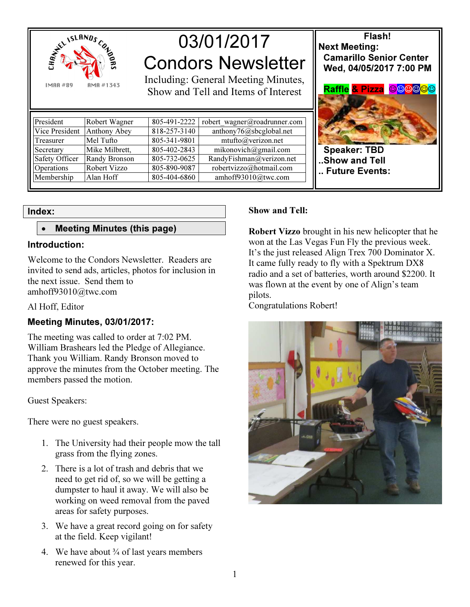

03/01/2017 Condors Newsletter

Including: General Meeting Minutes, Show and Tell and Items of Interest

| President         | Robert Wagner        | 805-491-2222 | robert wagner@roadrunner.com |
|-------------------|----------------------|--------------|------------------------------|
| Vice President    | Anthony Abey         | 818-257-3140 | anthony76@sbcglobal.net      |
| Treasurer         | Mel Tufto            | 805-341-9801 | mtufto@verizon.net           |
| Secretary         | Mike Milbrett,       | 805-402-2843 | mikonovich@gmail.com         |
| Safety Officer    | <b>Randy Bronson</b> | 805-732-0625 | RandyFishman@verizon.net     |
| <b>Operations</b> | Robert Vizzo         | 805-890-9087 | robertvizzo@hotmail.com      |
| Membership        | Alan Hoff            | 805-404-6860 | amhoff93010@twc.com          |

# Index:

# • Meeting Minutes (this page)

## Introduction:

Welcome to the Condors Newsletter. Readers are invited to send ads, articles, photos for inclusion in the next issue. Send them to amhoff93010@twc.com

Al Hoff, Editor

# Meeting Minutes, 03/01/2017:

The meeting was called to order at 7:02 PM. William Brashears led the Pledge of Allegiance. Thank you William. Randy Bronson moved to approve the minutes from the October meeting. The members passed the motion.

Guest Speakers:

There were no guest speakers.

- 1. The University had their people mow the tall grass from the flying zones.
- 2. There is a lot of trash and debris that we need to get rid of, so we will be getting a dumpster to haul it away. We will also be working on weed removal from the paved areas for safety purposes.
- 3. We have a great record going on for safety at the field. Keep vigilant!
- 4. We have about  $\frac{3}{4}$  of last years members renewed for this year.

# Show and Tell:

Robert Vizzo brought in his new helicopter that he won at the Las Vegas Fun Fly the previous week. It's the just released Align Trex 700 Dominator X. It came fully ready to fly with a Spektrum DX8 radio and a set of batteries, worth around \$2200. It was flown at the event by one of Align's team pilots.

.. Future Events:

Congratulations Robert!



Flash! Next Meeting: Camarillo Senior Center Wed, 04/05/2017 7:00 PM